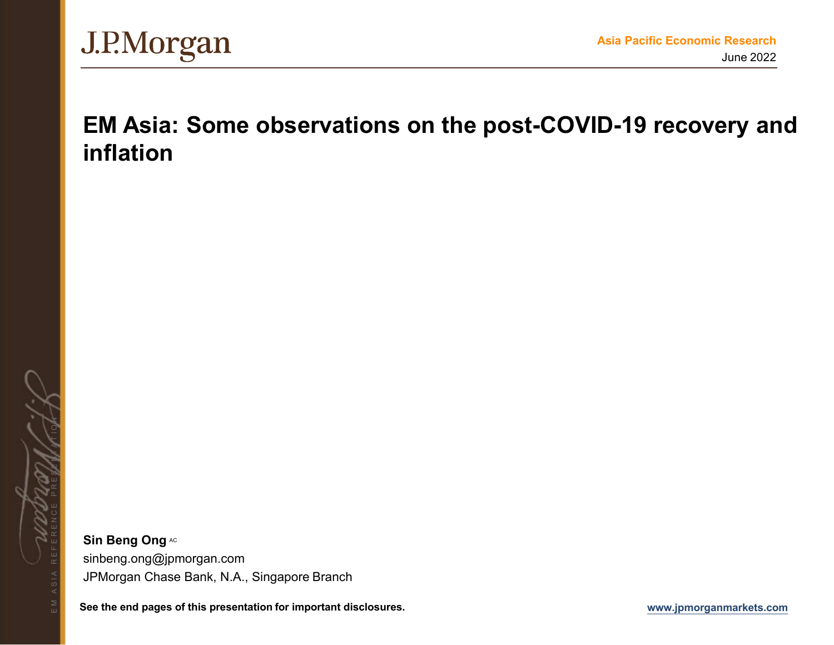

## **EM Asia: Some observations on the post-COVID-19 recovery and inflation**

**Sin Beng Ong AC** sinbeng.ong@jpmorgan.com JPMorgan Chase Bank, N.A., Singapore Branch

**See the end pages of this presentation for important disclosures. 1 [www.jpmorganmarkets.com](http://www.jpmorganmarkets.com/)** <sup>M</sup>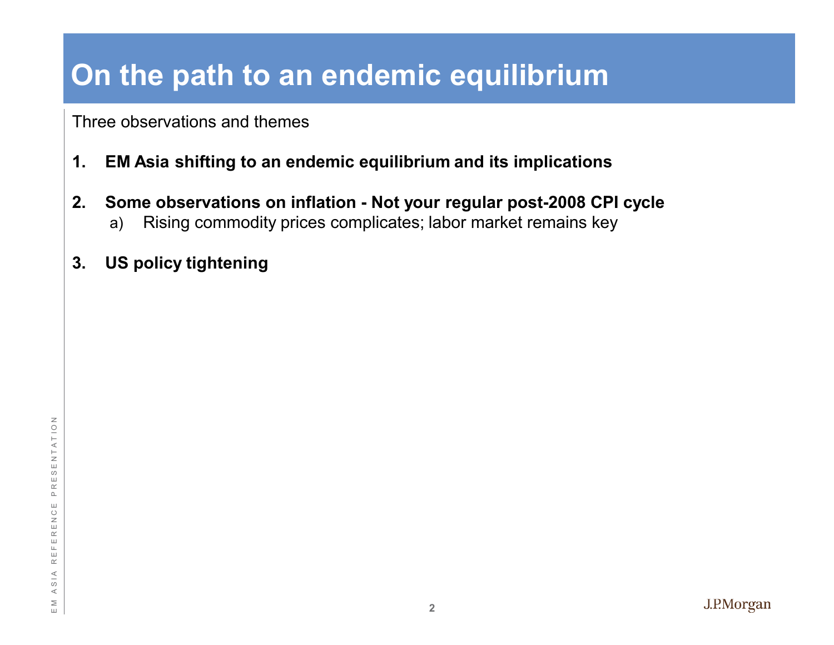# **On the path to an endemic equilibrium**

Three observations and themes

- **1. EM Asia shifting to an endemic equilibrium and its implications**
- **2. Some observations on inflation - Not your regular post-2008 CPI cycle** a) Rising commodity prices complicates; labor market remains key
- **3. US policy tightening**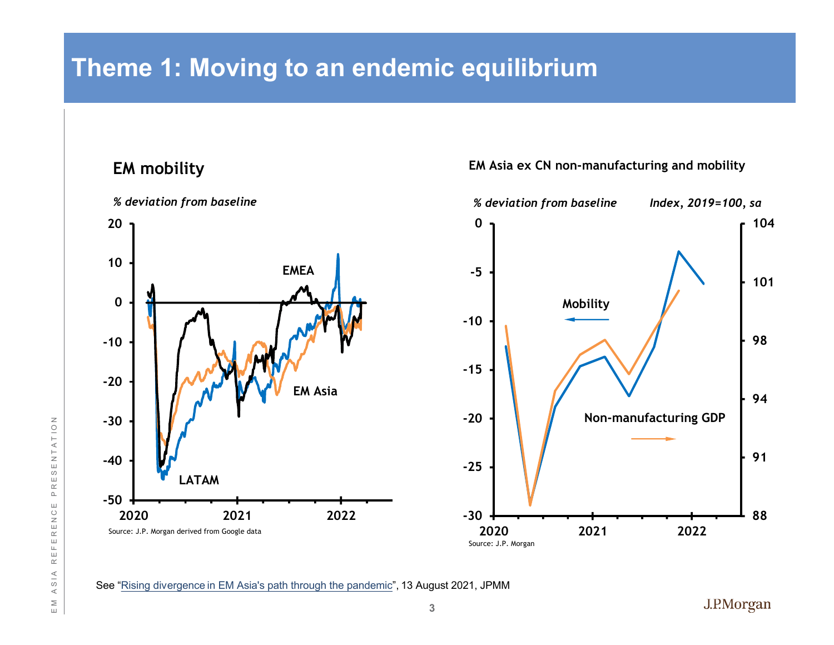## **Theme 1: Moving to an endemic equilibrium**

#### **EM mobility**



#### **EM Asia ex CN non-manufacturing and mobility**



See "[Rising divergence in EM Asia's path through the pandemic"](https://www.jpmm.com/research/content/GPS-3834480-0), 13 August 2021, JPMM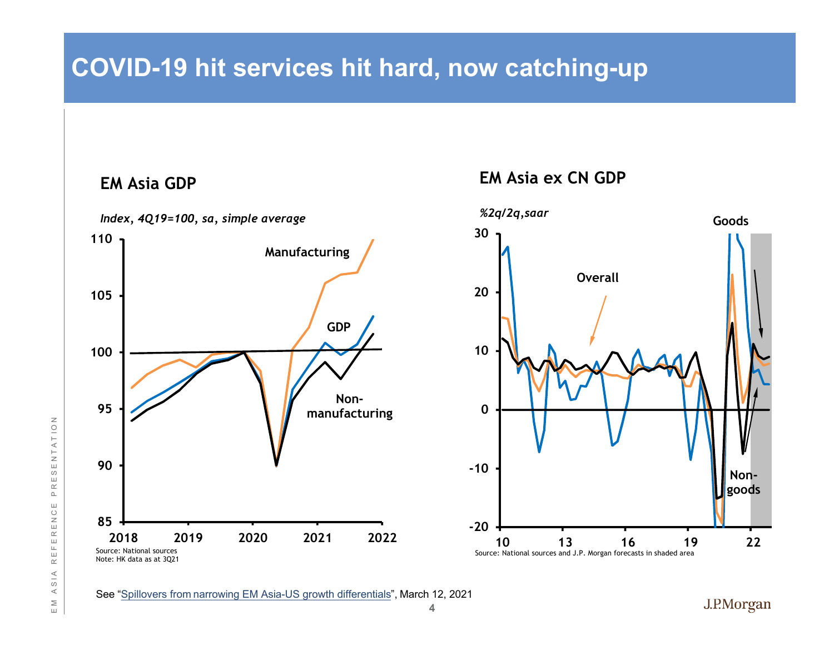# **COVID-19 hit services hit hard, now catching-up**

#### **EM Asia GDP**



#### **EM Asia ex CN GDP**



See "[Spillovers from narrowing EM Asia-US growth differentials](https://www.jpmm.com/research/content/GPS-3676902-0)", March 12, 2021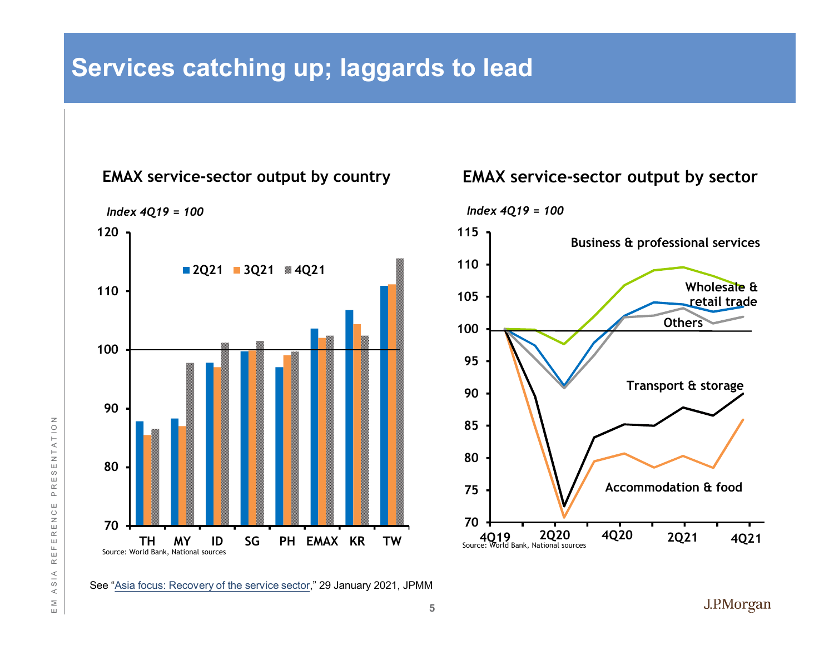## **Services catching up; laggards to lead**



#### **EMAX service-sector output by sector**



See "[Asia focus: Recovery of the service sector,](https://www.jpmm.com/research/content/GPS-3629883-0.pdf)" 29 January 2021, JPMM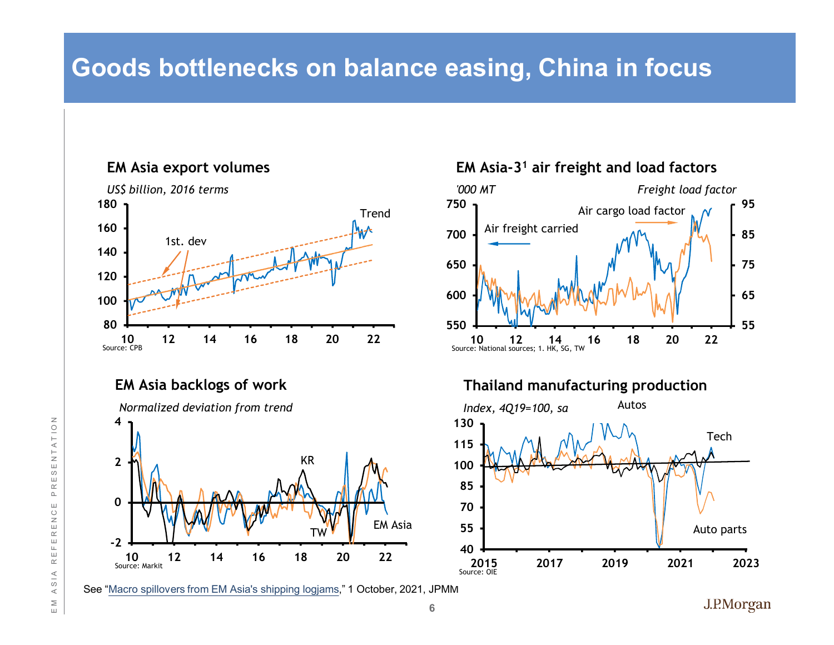# **Goods bottlenecks on balance easing, China in focus**





See "[Macro spillovers from EM Asia's shipping logjams,](https://www.jpmm.com/research/content/GPS-3875954-0)" 1 October, 2021, JPMM





#### **EM Asia-3<sup>1</sup> air freight and load factors**

SENTATION A S I A R E F E R E N C E P R E S E N T A T I O N  $R \n\equiv$  $\mathbf{\underline{\cap}}$ RENCE  $\sqcup$  $\sqcup$  $\sqcup$  $\bar{\alpha}$  $\land S \mid \land$ EM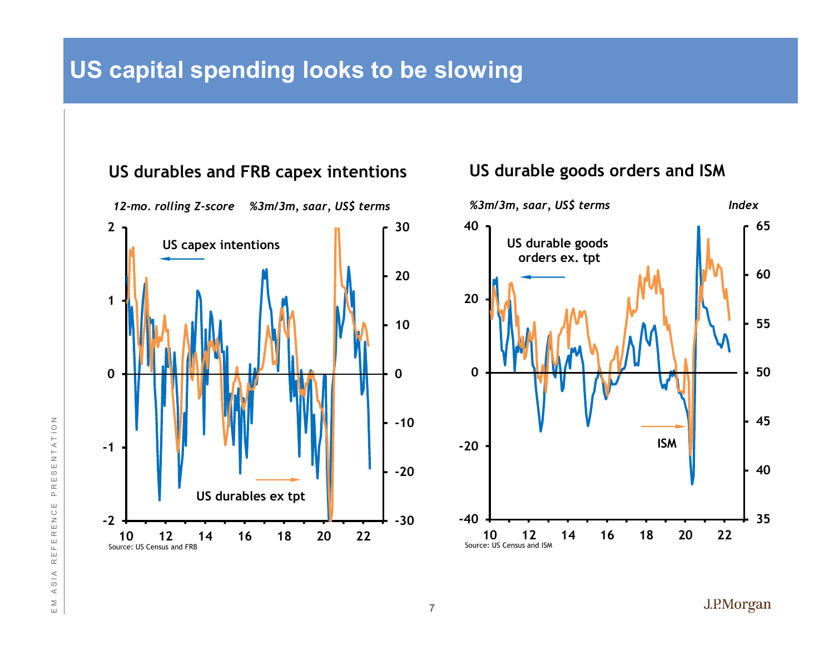## **US capital spending looks to be slowing**



#### **US durable goods orders and ISM**

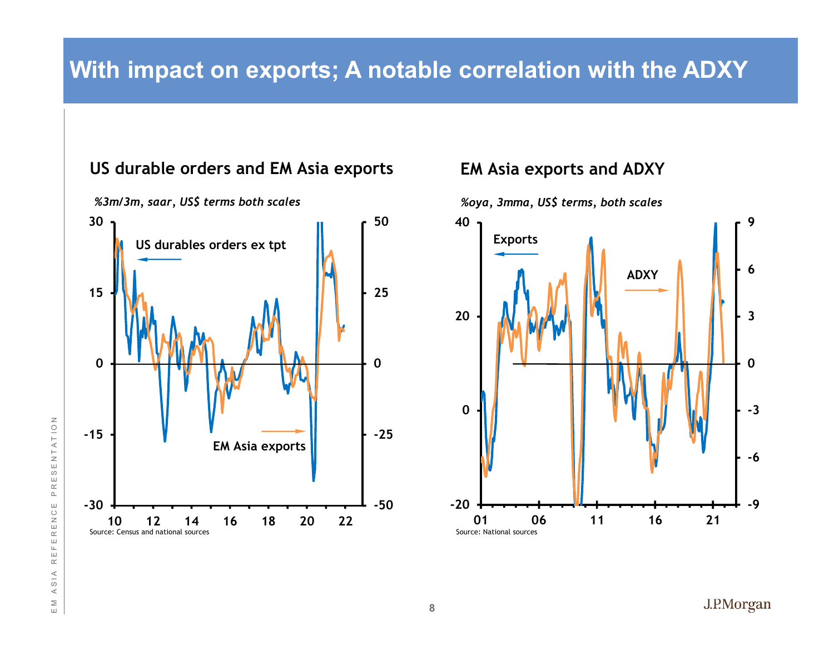## **With impact on exports; A notable correlation with the ADXY**



#### **EM Asia exports and ADXY**



*%oya, 3mma, US\$ terms, both scales*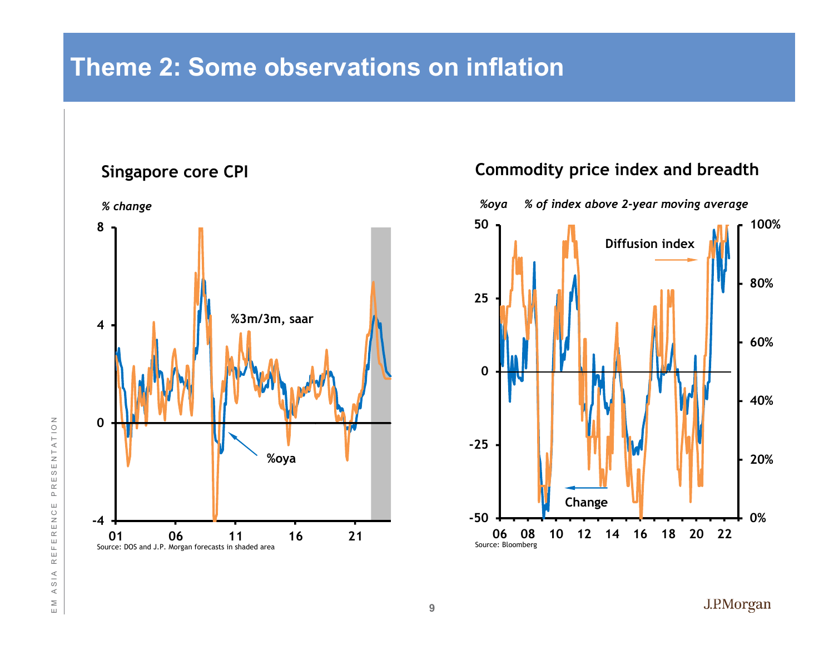## **Theme 2: Some observations on inflation**



#### **Commodity price index and breadth**

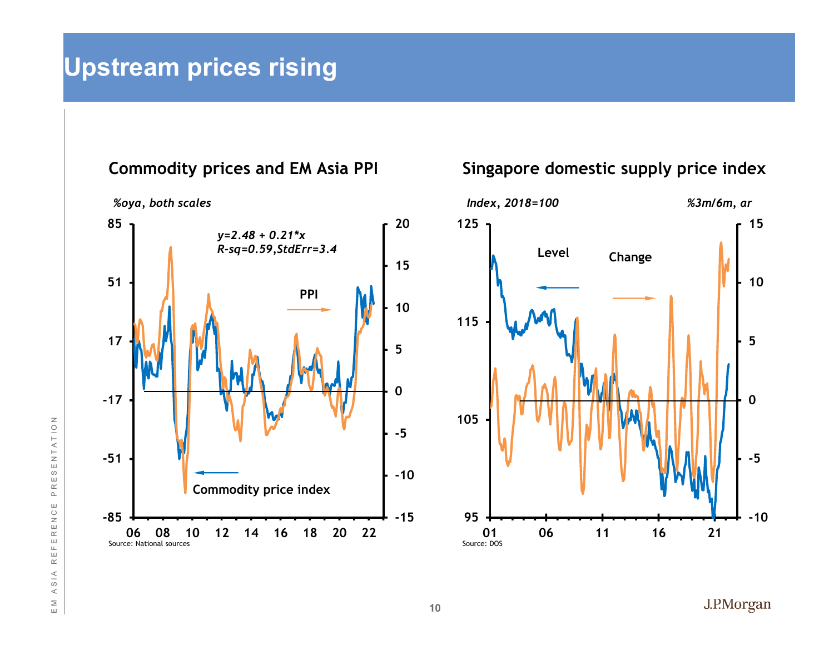

#### **Singapore domestic supply price index**

![](_page_9_Figure_3.jpeg)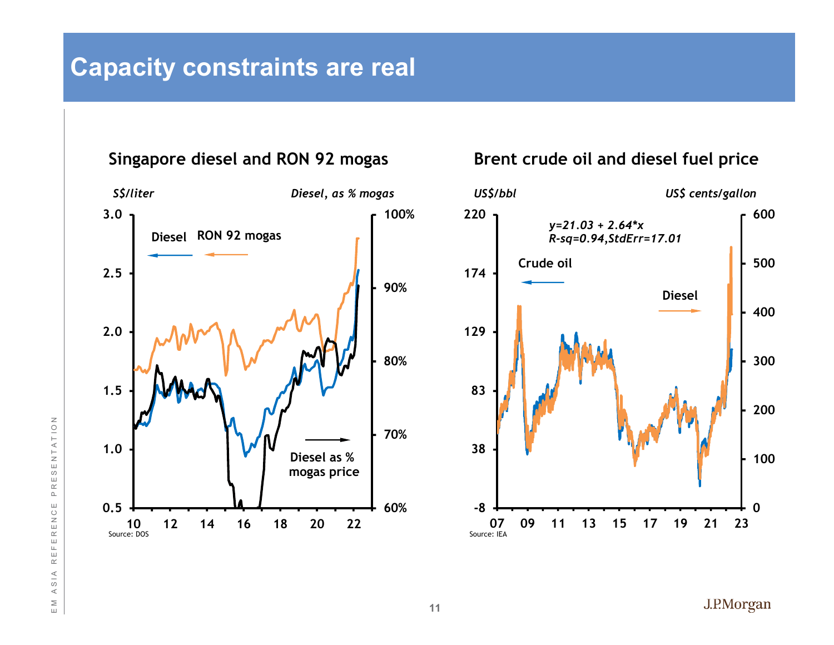## **Capacity constraints are real**

![](_page_10_Figure_1.jpeg)

#### **Singapore diesel and RON 92 mogas Brent crude oil and diesel fuel price**

![](_page_10_Figure_3.jpeg)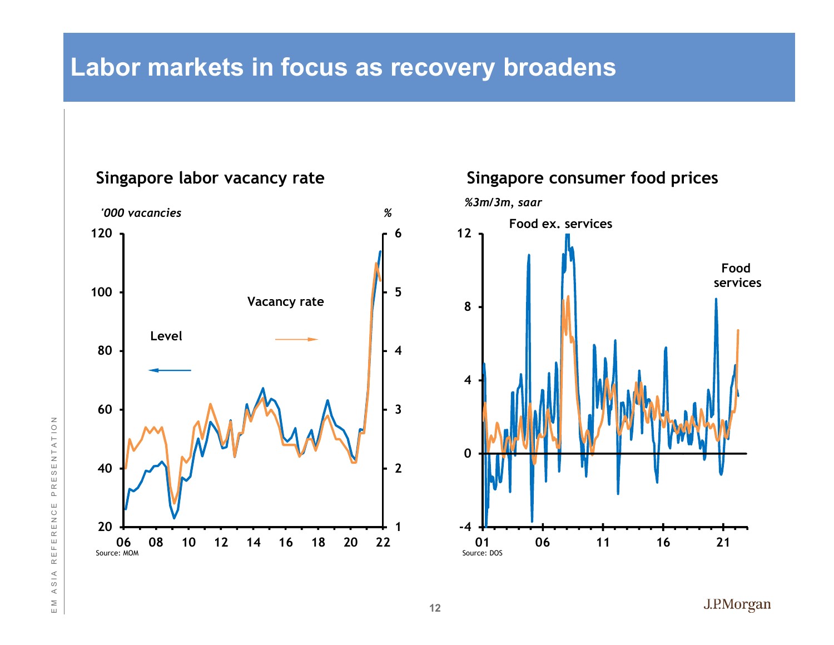## **Labor markets in focus as recovery broadens**

![](_page_11_Figure_1.jpeg)

**Singapore consumer food prices**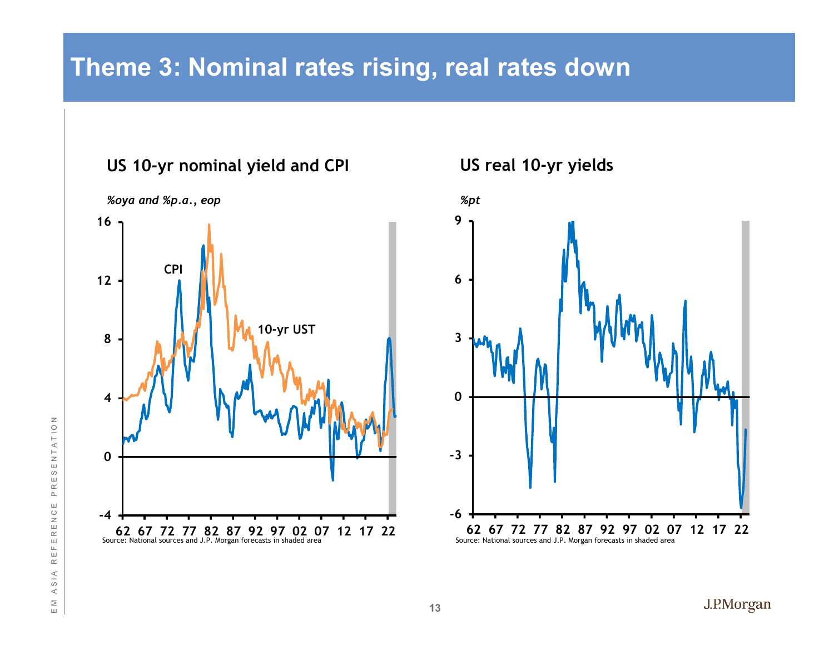## **Theme 3: Nominal rates rising, real rates down**

![](_page_12_Figure_1.jpeg)

#### **US real 10-yr yields**

![](_page_12_Figure_3.jpeg)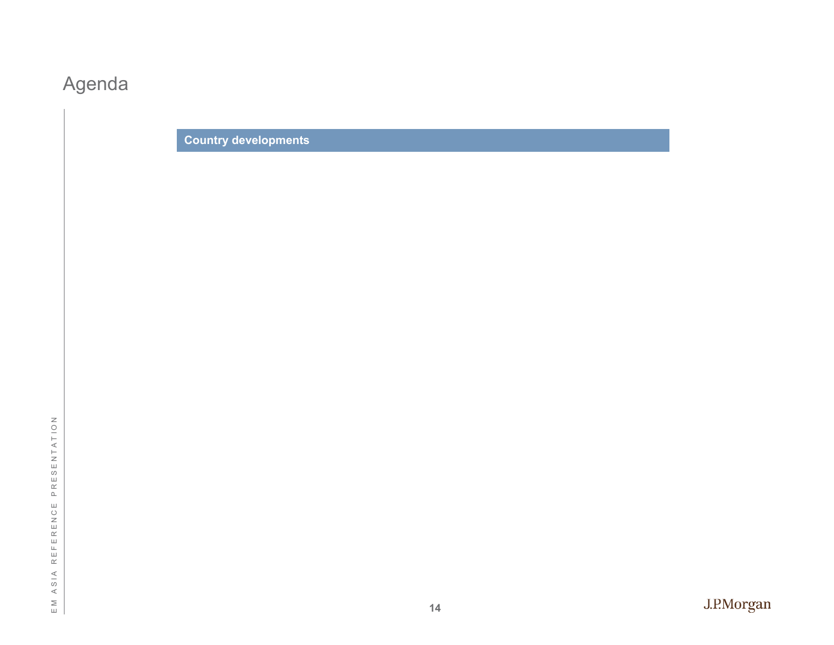## Agenda

**Country developments**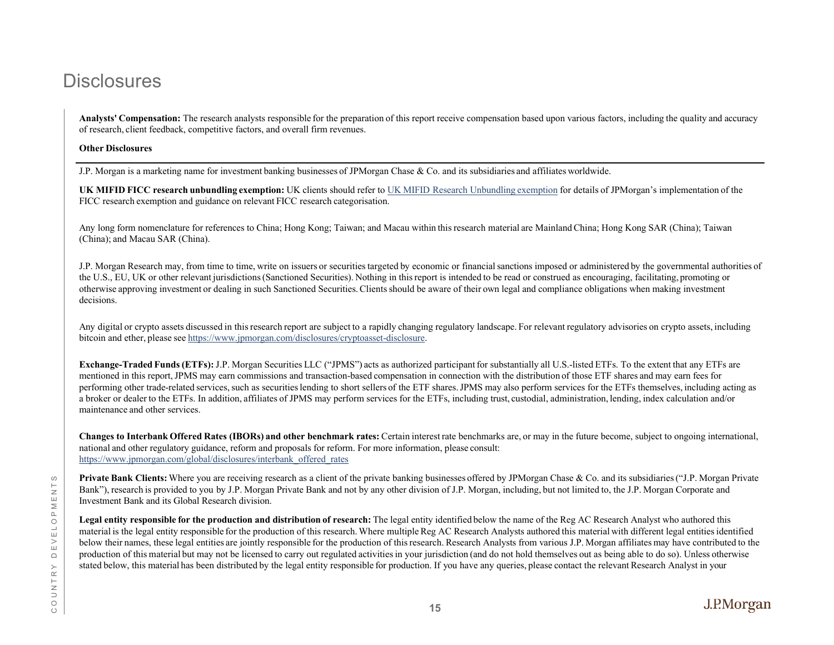**Analysts' Compensation:** The research analysts responsible for the preparation of this report receive compensation based upon various factors, including the quality and accuracy of research, client feedback, competitive factors, and overall firm revenues.

#### **Other Disclosures**

J.P. Morgan is a marketing name for investment banking businesses of JPMorgan Chase & Co. and its subsidiaries and affiliates worldwide.

**UK MIFID FICC research unbundling exemption:** UK clients should refer to [UK MIFID Research Unbundling exemption](https://jpmm.com/research/disclosures?disclosure=unbundlingPolicyEMEA) for details of JPMorgan's implementation of the FICC research exemption and guidance on relevant FICC research categorisation.

Any long form nomenclature for references to China; Hong Kong; Taiwan; and Macau within this research material are Mainland China; Hong Kong SAR (China); Taiwan (China); and Macau SAR (China).

J.P. Morgan Research may, from time to time, write on issuers or securities targeted by economic or financial sanctions imposed or administered by the governmental authorities of the U.S., EU, UK or other relevant jurisdictions (Sanctioned Securities). Nothing in this report is intended to be read or construed as encouraging, facilitating, promoting or otherwise approving investment or dealing in such Sanctioned Securities. Clients should be aware of their own legal and compliance obligations when making investment decisions.

Any digital or crypto assets discussed in this research report are subject to a rapidly changing regulatory landscape. For relevant regulatory advisories on crypto assets, including bitcoin and ether, please see [https://www.jpmorgan.com/disclosures/cryptoasset-disclosure.](https://www.jpmorgan.com/disclosures/cryptoasset-disclosure)

**Exchange-Traded Funds (ETFs):**J.P. Morgan Securities LLC ("JPMS") acts as authorized participant for substantially all U.S.-listed ETFs. To the extent that any ETFs are mentioned in this report, JPMS may earn commissions and transaction-based compensation in connection with the distribution of those ETF shares and may earn fees for performing other trade-related services, such as securities lending to short sellers of the ETF shares. JPMS may also perform services for the ETFs themselves, including acting as a broker or dealer to the ETFs. In addition, affiliates of JPMS may perform services for the ETFs, including trust, custodial, administration, lending, index calculation and/or maintenance and other services.

**Changes to Interbank Offered Rates (IBORs) and other benchmark rates:** Certain interest rate benchmarks are, or may in the future become, subject to ongoing international, national and other regulatory guidance, reform and proposals for reform. For more information, please consult: [https://www.jpmorgan.com/global/disclosures/interbank\\_offered\\_rates](https://www.jpmorgan.com/global/disclosures/interbank_offered_rates)

Private Bank Clients: Where you are receiving research as a client of the private banking businesses offered by JPMorgan Chase & Co. and its subsidiaries ("J.P. Morgan Private Bank"), research is provided to you by J.P. Morgan Private Bank and not by any other division of J.P. Morgan, including, but not limited to, the J.P. Morgan Corporate and Investment Bank and its Global Research division.

**Legal entity responsible for the production and distribution of research:** The legal entity identified below the name of the Reg AC Research Analyst who authored this material is the legal entity responsible for the production of this research. Where multiple Reg AC Research Analysts authored this material with different legal entities identified below their names, these legal entities are jointly responsible for the production of this research. Research Analysts from various J.P. Morgan affiliates may have contributed to the production of this material but may not be licensed to carry out regulated activities in your jurisdiction (and do not hold themselves out as being able to do so). Unless otherwise stated below, this material has been distributed by the legal entity responsible for production. If you have any queries, please contact the relevant Research Analyst in your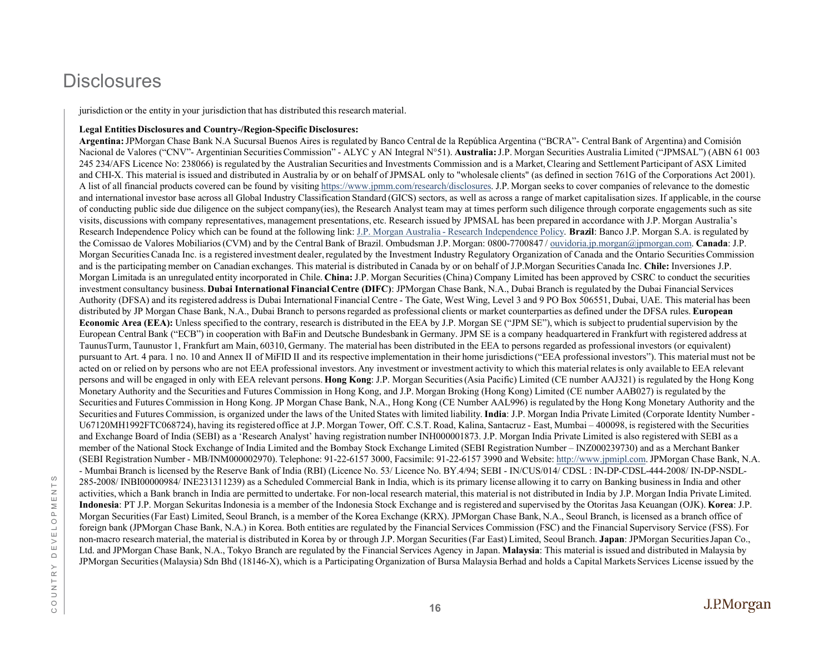jurisdiction or the entity in your jurisdiction that has distributed this research material.

#### **Legal Entities Disclosures and Country-/Region-Specific Disclosures:**

**Argentina:**JPMorgan Chase Bank N.A Sucursal Buenos Aires is regulated by Banco Central de la República Argentina ("BCRA"- Central Bank of Argentina) and Comisión Nacional de Valores ("CNV"- Argentinian Securities Commission" - ALYC y AN Integral N°51). **Australia:**J.P. Morgan Securities Australia Limited ("JPMSAL") (ABN 61 003 245 234/AFS Licence No: 238066) is regulated by the Australian Securities and Investments Commission and is a Market, Clearing and Settlement Participant of ASX Limited and CHI-X. This material is issued and distributed in Australia by or on behalf of JPMSAL only to "wholesale clients" (as defined in section 761G of the Corporations Act 2001). A list of all financial products covered can be found by visiting<https://www.jpmm.com/research/disclosures>. J.P. Morgan seeks to cover companies of relevance to the domestic and international investor base across all Global Industry Classification Standard (GICS) sectors, as well as across a range of market capitalisation sizes. If applicable, in the course of conducting public side due diligence on the subject company(ies), the Research Analyst team may at times perform such diligence through corporate engagements such as site visits, discussions with company representatives, management presentations, etc. Research issued by JPMSAL has been prepared in accordance with J.P. Morgan Australia's Research Independence Policy which can be found at the following link: J.P. Morgan Australia - [Research Independence Policy.](https://www.jpmm.com/research/disclosures?disclosure=independencePolicyAustralia) **Brazil**: Banco J.P. Morgan S.A. is regulated by the Comissao de Valores Mobiliarios (CVM) and by the Central Bank of Brazil. Ombudsman J.P. Morgan: 0800-7700847 / [ouvidoria.jp.morgan@jpmorgan.com.](mailto:ouvidoria.jp.morgan@jpmorgan.com) **Canada**: J.P. Morgan Securities Canada Inc. is a registered investment dealer, regulated by the Investment Industry Regulatory Organization of Canada and the Ontario Securities Commission and is the participating member on Canadian exchanges. This material is distributed in Canada by or on behalf of J.P.Morgan Securities Canada Inc. **Chile:** Inversiones J.P. Morgan Limitada is an unregulated entity incorporated in Chile. **China:** J.P. Morgan Securities (China) Company Limited has been approved by CSRC to conduct the securities investment consultancy business. **Dubai International Financial Centre (DIFC)**: JPMorgan Chase Bank, N.A., Dubai Branch is regulated by the Dubai Financial Services Authority (DFSA) and its registered address is Dubai International Financial Centre - The Gate, West Wing, Level 3 and 9 PO Box 506551, Dubai, UAE. This material has been distributed by JP Morgan Chase Bank, N.A., Dubai Branch to persons regarded as professional clients or market counterparties as defined under the DFSA rules. **European Economic Area (EEA):** Unless specified to the contrary, research is distributed in the EEA by J.P. Morgan SE ("JPM SE"), which is subject to prudential supervision by the European Central Bank ("ECB") in cooperation with BaFin and Deutsche Bundesbank in Germany. JPM SE is a company headquartered in Frankfurt with registered address at TaunusTurm, Taunustor 1, Frankfurt am Main, 60310, Germany. The material has been distributed in the EEA to persons regarded as professional investors (or equivalent) pursuant to Art. 4 para. 1 no. 10 and Annex II of MiFID II and its respective implementation in their home jurisdictions ("EEA professional investors"). This material must not be acted on or relied on by persons who are not EEA professional investors. Any investment or investment activity to which this material relates is only available to EEA relevant persons and will be engaged in only with EEA relevant persons. **Hong Kong**: J.P. Morgan Securities (Asia Pacific) Limited (CE number AAJ321) is regulated by the Hong Kong Monetary Authority and the Securities and Futures Commission in Hong Kong, and J.P. Morgan Broking (Hong Kong) Limited (CE number AAB027) is regulated by the Securities and Futures Commission in Hong Kong. JP Morgan Chase Bank, N.A., Hong Kong (CE Number AAL996) is regulated by the Hong Kong Monetary Authority and the Securities and Futures Commission, is organized under the laws of the United States with limited liability. **India**: J.P. Morgan India Private Limited (Corporate Identity Number - U67120MH1992FTC068724), having its registered office at J.P. Morgan Tower, Off. C.S.T. Road, Kalina, Santacruz - East, Mumbai – 400098, is registered with the Securities and Exchange Board of India (SEBI) as a 'Research Analyst' having registration number INH000001873. J.P. Morgan India Private Limited is also registered with SEBI as a member of the National Stock Exchange of India Limited and the Bombay Stock Exchange Limited (SEBI Registration Number – INZ000239730) and as a Merchant Banker (SEBI Registration Number - MB/INM000002970). Telephone: 91-22-6157 3000, Facsimile: 91-22-6157 3990 and Website: [http://www.jpmipl.com](http://www.jpmipl.com/). JPMorgan Chase Bank, N.A. - Mumbai Branch is licensed by the Reserve Bank of India (RBI) (Licence No. 53/ Licence No. BY.4/94; SEBI - IN/CUS/014/ CDSL : IN-DP-CDSL-444-2008/ IN-DP-NSDL-285-2008/ INBI00000984/ INE231311239) as a Scheduled Commercial Bank in India, which is its primary license allowing it to carry on Banking business in India and other activities, which a Bank branch in India are permitted to undertake. For non-local research material, this material is not distributed in India by J.P. Morgan India Private Limited. **Indonesia**: PT J.P. Morgan Sekuritas Indonesia is a member of the Indonesia Stock Exchange and is registered and supervised by the Otoritas Jasa Keuangan (OJK). **Korea**: J.P. Morgan Securities (Far East) Limited, Seoul Branch, is a member of the Korea Exchange (KRX). JPMorgan Chase Bank, N.A., Seoul Branch, is licensed as a branch office of foreign bank (JPMorgan Chase Bank, N.A.) in Korea. Both entities are regulated by the Financial Services Commission (FSC) and the Financial Supervisory Service (FSS). For non-macro research material, the material is distributed in Korea by or through J.P. Morgan Securities (Far East) Limited, Seoul Branch. **Japan**: JPMorgan Securities Japan Co., Ltd. and JPMorgan Chase Bank, N.A., Tokyo Branch are regulated by the Financial Services Agency in Japan. **Malaysia**: This material is issued and distributed in Malaysia by JPMorgan Securities (Malaysia) Sdn Bhd (18146-X), which is a Participating Organization of Bursa Malaysia Berhad and holds a Capital Markets Services License issued by the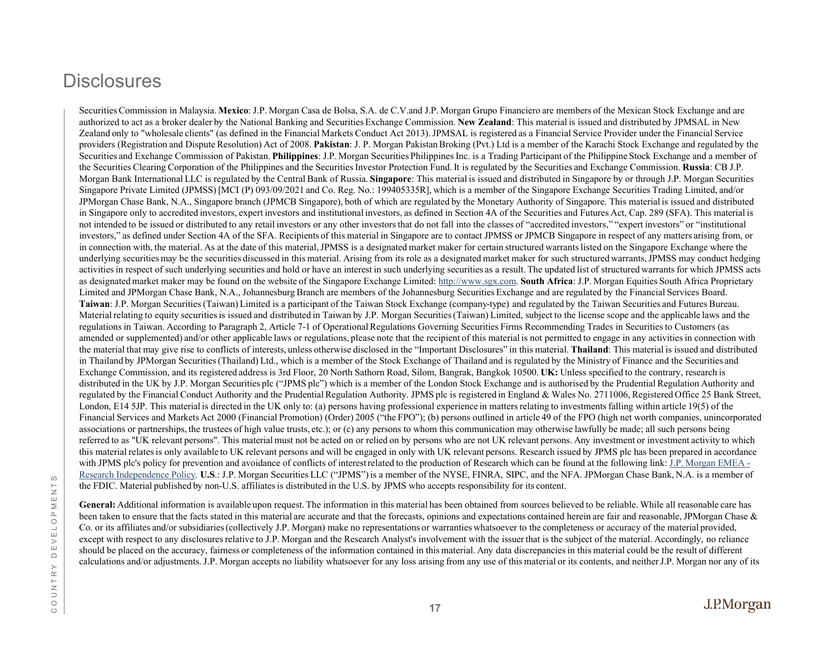Securities Commission in Malaysia. **Mexico**: J.P. Morgan Casa de Bolsa, S.A. de C.V.and J.P. Morgan Grupo Financiero are members of the Mexican Stock Exchange and are authorized to act as a broker dealer by the National Banking and Securities Exchange Commission. **New Zealand**: This material is issued and distributed by JPMSAL in New Zealand only to "wholesale clients" (as defined in the Financial Markets Conduct Act 2013). JPMSAL is registered as a Financial Service Provider under the Financial Service providers (Registration and Dispute Resolution) Act of 2008. **Pakistan**: J. P. Morgan Pakistan Broking (Pvt.) Ltd is a member of the Karachi Stock Exchange and regulated by the Securities and Exchange Commission of Pakistan. **Philippines**: J.P. Morgan Securities Philippines Inc. is a Trading Participant of the Philippine Stock Exchange and a member of the Securities Clearing Corporation of the Philippines and the Securities Investor Protection Fund. It is regulated by the Securities and Exchange Commission. **Russia**: CB J.P. Morgan Bank International LLC is regulated by the Central Bank of Russia. **Singapore**: This material is issued and distributed in Singapore by or through J.P. Morgan Securities Singapore Private Limited (JPMSS) [MCI (P) 093/09/2021 and Co. Reg. No.: 199405335R], which is a member of the Singapore Exchange Securities Trading Limited, and/or JPMorgan Chase Bank, N.A., Singapore branch (JPMCB Singapore), both of which are regulated by the Monetary Authority of Singapore. This material is issued and distributed in Singapore only to accredited investors, expert investors and institutional investors, as defined in Section 4A of the Securities and Futures Act, Cap. 289 (SFA). This material is not intended to be issued or distributed to any retail investors or any other investors that do not fall into the classes of "accredited investors," "expert investors" or "institutional investors," as defined under Section 4A of the SFA. Recipients of this material in Singapore are to contact JPMSS or JPMCB Singapore in respect of any matters arising from, or in connection with, the material. As at the date of this material, JPMSS is a designated market maker for certain structured warrants listed on the Singapore Exchange where the underlying securities may be the securities discussed in this material. Arising from its role as a designated market maker for such structured warrants, JPMSS may conduct hedging activities in respect of such underlying securities and hold or have an interest in such underlying securities as a result. The updated list of structured warrants for which JPMSS acts as designated market maker may be found on the website of the Singapore Exchange Limited: [http://www.sgx.com](http://www.sgx.com/). **South Africa**: J.P. Morgan Equities South Africa Proprietary Limited and JPMorgan Chase Bank, N.A., Johannesburg Branch are members of the Johannesburg Securities Exchange and are regulated by the Financial Services Board. **Taiwan**: J.P. Morgan Securities (Taiwan) Limited is a participant of the Taiwan Stock Exchange (company-type) and regulated by the Taiwan Securities and Futures Bureau. Material relating to equity securities is issued and distributed in Taiwan by J.P. Morgan Securities (Taiwan) Limited, subject to the license scope and the applicable laws and the regulations in Taiwan. According to Paragraph 2, Article 7-1 of Operational Regulations Governing Securities Firms Recommending Trades in Securities to Customers (as amended or supplemented) and/or other applicable laws or regulations, please note that the recipient of this material is not permitted to engage in any activities in connection with the material that may give rise to conflicts of interests, unless otherwise disclosed in the "Important Disclosures" in this material. **Thailand**: This material is issued and distributed in Thailand by JPMorgan Securities (Thailand) Ltd., which is a member of the Stock Exchange of Thailand and is regulated by the Ministry of Finance and the Securities and Exchange Commission, and its registered address is 3rd Floor, 20 North Sathorn Road, Silom, Bangrak, Bangkok 10500. **UK:** Unless specified to the contrary, research is distributed in the UK by J.P. Morgan Securities plc ("JPMS plc") which is a member of the London Stock Exchange and is authorised by the Prudential Regulation Authority and regulated by the Financial Conduct Authority and the Prudential Regulation Authority. JPMS plc is registered in England & Wales No. 2711006, Registered Office 25 Bank Street, London, E14 5JP. This material is directed in the UK only to: (a) persons having professional experience in matters relating to investments falling within article 19(5) of the Financial Services and Markets Act 2000 (Financial Promotion) (Order) 2005 ("the FPO"); (b) persons outlined in article 49 of the FPO (high net worth companies, unincorporated associations or partnerships, the trustees of high value trusts, etc.); or (c) any persons to whom this communication may otherwise lawfully be made; all such persons being referred to as "UK relevant persons". This material must not be acted on or relied on by persons who are not UK relevant persons. Any investment or investment activity to which this material relates is only available to UK relevant persons and will be engaged in only with UK relevant persons. Research issued by JPMS plc has been prepared in accordance [with JPMS plc's policy for prevention and avoidance of conflicts of interest related to the production of Research which can be found at the following link: J.P. Morgan EMEA -](https://www.jpmm.com/research/disclosures?disclosure=independencePolicyEMEA) Research Independence Policy. **U.S.**: J.P. Morgan Securities LLC ("JPMS") is a member of the NYSE, FINRA, SIPC, and the NFA. JPMorgan Chase Bank, N.A. is a member of the FDIC. Material published by non-U.S. affiliates is distributed in the U.S. by JPMS who accepts responsibility for its content.

**General:** Additional information is available upon request. The information in this material has been obtained from sources believed to be reliable. While all reasonable care has been taken to ensure that the facts stated in this material are accurate and that the forecasts, opinions and expectations contained herein are fair and reasonable, JPMorgan Chase & Co. or its affiliates and/or subsidiaries (collectively J.P. Morgan) make no representations or warranties whatsoever to the completeness or accuracy of the material provided, except with respect to any disclosures relative to J.P. Morgan and the Research Analyst's involvement with the issuer that is the subject of the material. Accordingly, no reliance should be placed on the accuracy, fairness or completeness of the information contained in this material. Any data discrepanciesin this material could be the result of different calculations and/or adjustments. J.P. Morgan accepts no liability whatsoever for any loss arising from any use of this material or its contents, and neither J.P. Morgan nor any of its